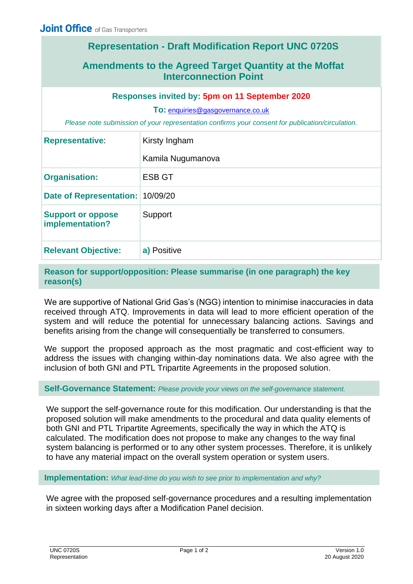## **Representation - Draft Modification Report UNC 0720S**

## **Amendments to the Agreed Target Quantity at the Moffat Interconnection Point**

## **Responses invited by: 5pm on 11 September 2020**

**To:** [enquiries@gasgovernance.co.uk](mailto:enquiries@gasgovernance.co.uk)

*Please note submission of your representation confirms your consent for publication/circulation.*

| <b>Representative:</b>                      | Kirsty Ingham     |
|---------------------------------------------|-------------------|
|                                             | Kamila Nugumanova |
| <b>Organisation:</b>                        | <b>ESB GT</b>     |
| Date of Representation: 10/09/20            |                   |
| <b>Support or oppose</b><br>implementation? | Support           |
| <b>Relevant Objective:</b>                  | a) Positive       |

**Reason for support/opposition: Please summarise (in one paragraph) the key reason(s)** 

We are supportive of National Grid Gas's (NGG) intention to minimise inaccuracies in data received through ATQ. Improvements in data will lead to more efficient operation of the system and will reduce the potential for unnecessary balancing actions. Savings and benefits arising from the change will consequentially be transferred to consumers.

We support the proposed approach as the most pragmatic and cost-efficient way to address the issues with changing within-day nominations data. We also agree with the inclusion of both GNI and PTL Tripartite Agreements in the proposed solution.

## **Self-Governance Statement:** *Please provide your views on the self-governance statement.*

We support the self-governance route for this modification. Our understanding is that the proposed solution will make amendments to the procedural and data quality elements of both GNI and PTL Tripartite Agreements, specifically the way in which the ATQ is calculated. The modification does not propose to make any changes to the way final system balancing is performed or to any other system processes. Therefore, it is unlikely to have any material impact on the overall system operation or system users.

**Implementation:** *What lead-time do you wish to see prior to implementation and why?*

We agree with the proposed self-governance procedures and a resulting implementation in sixteen working days after a Modification Panel decision.